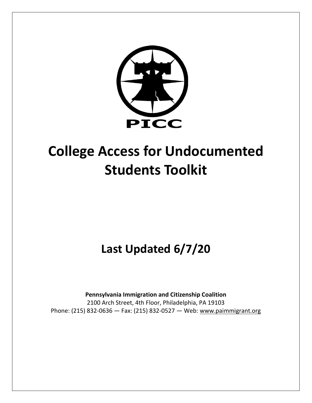

# **College Access for Undocumented Students Toolkit**

**Last Updated 6/7/20**

**Pennsylvania Immigration and Citizenship Coalition** 2100 Arch Street, 4th Floor, Philadelphia, PA 19103 Phone: (215) 832-0636 — Fax: (215) 832-0527 — Web: [www.paimmigrant.org](http://www.paimmigrant.org/)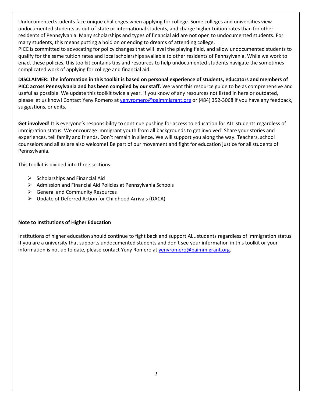Undocumented students face unique challenges when applying for college. Some colleges and universities view undocumented students as out-of-state or international students, and charge higher tuition rates than for other residents of Pennsylvania. Many scholarships and types of financial aid are not open to undocumented students. For many students, this means putting a hold on or ending to dreams of attending college.

PICC is committed to advocating for policy changes that will level the playing field, and allow undocumented students to qualify for the same tuition rates and local scholarships available to other residents of Pennsylvania. While we work to enact these policies, this toolkit contains tips and resources to help undocumented students navigate the sometimes complicated work of applying for college and financial aid.

**DISCLAIMER: The information in this toolkit is based on personal experience of students, educators and members of PICC across Pennsylvania and has been compiled by our staff.** We want this resource guide to be as comprehensive and useful as possible. We update this toolkit twice a year. If you know of any resources not listed in here or outdated, please let us know! Contact Yeny Romero a[t yenyromero@paimmigrant.org](mailto:yenyromero@paimmigrant.org) or (484) 352-3068 if you have any feedback, suggestions, or edits.

**Get involved!** It is everyone's responsibility to continue pushing for access to education for ALL students regardless of immigration status. We encourage immigrant youth from all backgrounds to get involved! Share your stories and experiences, tell family and friends. Don't remain in silence. We will support you along the way. Teachers, school counselors and allies are also welcome! Be part of our movement and fight for education justice for all students of Pennsylvania.

This toolkit is divided into three sections:

- $\triangleright$  Scholarships and Financial Aid
- ➢ Admission and Financial Aid Policies at Pennsylvania Schools
- $\triangleright$  General and Community Resources
- ➢ Update of Deferred Action for Childhood Arrivals (DACA)

#### **Note to Institutions of Higher Education**

Institutions of higher education should continue to fight back and support ALL students regardless of immigration status. If you are a university that supports undocumented students and don't see your information in this toolkit or your information is not up to date, please contact Yeny Romero at venyromero@paimmigrant.org.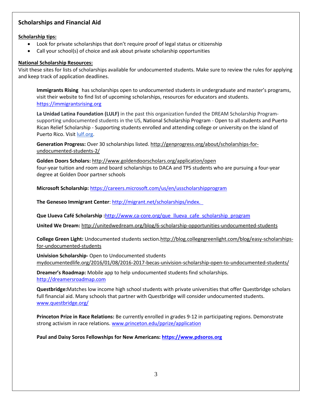# **Scholarships and Financial Aid**

#### **Scholarship tips:**

- Look for private scholarships that don't require proof of legal status or citizenship
- Call your school(s) of choice and ask about private scholarship opportunities

#### **National Scholarship Resources:**

Visit these sites for lists of scholarships available for undocumented students. Make sure to review the rules for applying and keep track of application deadlines.

**[Immigrants Rising](https://fcyo.us17.list-manage.com/track/click?u=7fcc76779f77278fd615e376d&id=3d325e6336&e=61a48cfdaf)** has scholarships open to undocumented students in undergraduate and master's programs, visit their website to find list of upcoming scholarships, resources for educators and students. [https://immigrantsrising.org](https://immigrantsrising.org/)

**La Unidad Latina Foundation (LULF)** in the past this organization funded the DREAM Scholarship Programsupporting undocumented students in the US, National Scholarship Program - Open to all students and Puerto Rican Relief Scholarship - Supporting students enrolled and attending college or university on the island of Puerto Rico. Visi[t lulf.org.](https://clicks.memberclicks-mail.net/wf/click?upn=W3bEGeHMi2Sea-2Bn94DjZpUjeZeadPjSqBiN2h4SIWQc-3D_F-2B7YwkrGkXMkbmF-2B3WzJFMDt9l-2BJ0lM-2FjvETsu-2BvBgGUTrJoUUx1PKv-2FxBY96oIK3L2exe-2F0Tx95R1fMVHFOm3c9XeHo5kZ2lg1ysJ2KN3vO1agNwgShiwl-2F9IiXLgzJtNI8ZhM-2F4FtyIn-2F2K6WG4sVWT9ytbV9NScywx2Wdupx5FYf3F1HOC80O5ETTAeY40xmlsaz8qh0h4eRLwAFb4j0UJrnKNi3teZP91VQB4TwjJQCKjwVbAIPBglQfmpvuPDb2-2BSkpz4ujzDNgcgvkB0zTNMUcm2O8ww-2FmlnJQxXEICv-2BdRYVsODtM6ueq1Nlktj94FhgE-2BarcN-2B95RKU5sQ-3D-3D)

**Generation Progress:** Over 30 scholarships listed[. http://genprogress.org/about/scholarships-for](http://genprogress.org/about/scholarships-for-undocumented-students-2/)[undocumented-students-2/](http://genprogress.org/about/scholarships-for-undocumented-students-2/)

**Golden Doors Scholars:** <http://www.goldendoorscholars.org/application/open> four-year tuition and room and board scholarships to DACA and TPS students who are pursuing a four-year degree at Golden Door partner schools

**Microsoft Scholarship:** <https://careers.microsoft.com/us/en/usscholarshipprogram>

The Geneseo Immigrant Center: http://migrant.net/scholarships/index.

**Que Llueva Café Scholarship :**[http://www.ca-core.org/que\\_llueva\\_cafe\\_scholarship\\_program](http://www.ca-core.org/que_llueva_cafe_scholarship_program)

**United We Dream:** <http://unitedwedream.org/blog/6-scholarship-opportunities-undocumented-students>

**College Green Light:** Undocumented students sectio[n.http://blog.collegegreenlight.com/blog/easy-scholarships](http://blog.collegegreenlight.com/blog/easy-scholarships-for-undocumented-students)[for-undocumented-students](http://blog.collegegreenlight.com/blog/easy-scholarships-for-undocumented-students)

**Univision Scholarship-** Open to Undocumented students mydocumentedlife.org/2016/01/08/2016-2017-becas-univision-scholarship-open-to-undocumented-students/

**Dreamer's Roadmap:** Mobile app to help undocumented students find scholarships. [http://dreamersroadmap.com](http://dreamersroadmap.com/)

**Questbridge:**Matches low income high school students with private universities that offer Questbridge scholars full financial aid. Many schools that partner with Questbridge will consider undocumented students. [www.questbridge.org/](http://www.questbridge.org/)

**Princeton Prize in Race Relations:** Be currently enrolled in grades 9-12 in participating regions. Demonstrate strong activism in race relations. [www.princeton.edu/pprize/application](http://www.princeton.edu/pprize/application)

**Paul and Daisy Soros Fellowships for New Americans: [https://www.pdsoros.org](https://www.pdsoros.org/)**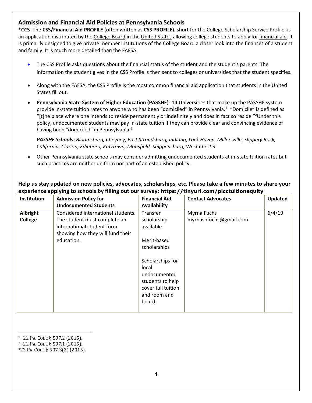## **Admission and Financial Aid Policies at Pennsylvania Schools**

**\*CCS-** The **CSS/Financial Aid PROFILE** (often written as **CSS PROFILE**), short for the College Scholarship Service Profile, is an application distributed by the [College Board](https://en.wikipedia.org/wiki/College_Board) in the [United States](https://en.wikipedia.org/wiki/United_States) allowing college students to apply for [financial aid.](https://en.wikipedia.org/wiki/Financial_aid_(educational_expenses)) It is primarily designed to give private member institutions of the College Board a closer look into the finances of a student and family. It is much more detailed than the [FAFSA.](https://en.wikipedia.org/wiki/FAFSA)

- The CSS Profile asks questions about the financial status of the student and the student's parents. The information the student gives in the CSS Profile is then sent to [colleges](https://en.wikipedia.org/wiki/College) or [universities](https://en.wikipedia.org/wiki/University) that the student specifies.
- Along with the [FAFSA,](https://en.wikipedia.org/wiki/FAFSA) the CSS Profile is the most common financial aid application that students in the United States fill out.
- **Pennsylvania State System of Higher Education (PASSHE)-** 14 Universities that make up the PASSHE system provide in-state tuition rates to anyone who has been "domiciled" in Pennsylvania.<sup>1</sup> "Domicile" is defined as "[t]he place where one intends to reside permanently or indefinitely and does in fact so reside."<sup>2</sup>Under this policy, undocumented students may pay in-state tuition if they can provide clear and convincing evidence of having been "domiciled" in Pennsylvania.<sup>3</sup>

*PASSHE Schools: Bloomsburg, Cheyney, East Stroudsburg, Indiana, Lock Haven, Millersville, Slippery Rock, California, Clarion, Edinboro, Kutztown, Mansfield, Shippensburg, West Chester*

• Other Pennsylvania state schools may consider admitting undocumented students at in-state tuition rates but such practices are neither uniform nor part of an established policy.

| Institution         | <b>Admission Policy for</b><br><b>Undocumented Students</b>                                                                                        | <b>Financial Aid</b><br>Availability                                                                                                                                       | <b>Contact Advocates</b>              | <b>Updated</b> |
|---------------------|----------------------------------------------------------------------------------------------------------------------------------------------------|----------------------------------------------------------------------------------------------------------------------------------------------------------------------------|---------------------------------------|----------------|
| Albright<br>College | Considered international students.<br>The student must complete an<br>international student form<br>showing how they will fund their<br>education. | Transfer<br>scholarship<br>available<br>Merit-based<br>scholarships<br>Scholarships for<br>local<br>undocumented<br>students to help<br>cover full tuition<br>and room and | Myrna Fuchs<br>myrnashfuchs@gmail.com | 6/4/19         |
|                     |                                                                                                                                                    | board.                                                                                                                                                                     |                                       |                |

# **Help us stay updated on new policies, advocates, scholarships, etc. Please take a few minutes to share your experience applying to schools by filling out our survey: https://tinyurl.com/picctuitionequity**

- $\overline{a}$ <sup>1</sup> 22 PA. CODE § 507.2 (2015).
- <sup>2</sup> 22 PA. CODE § 507.1 (2015).
- <sup>3</sup>22 PA. CODE § 507.3(2) (2015).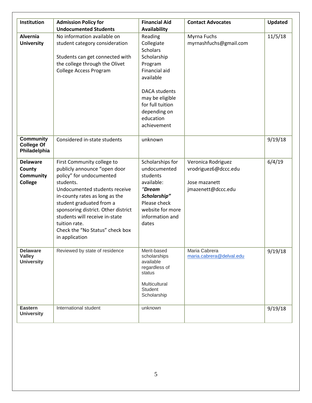| Institution                                                     | <b>Admission Policy for</b>                                                                                                                                                                                                                                                                                                                       | <b>Financial Aid</b>                                                                                                                                                                                        | <b>Contact Advocates</b>                                                          | <b>Updated</b> |
|-----------------------------------------------------------------|---------------------------------------------------------------------------------------------------------------------------------------------------------------------------------------------------------------------------------------------------------------------------------------------------------------------------------------------------|-------------------------------------------------------------------------------------------------------------------------------------------------------------------------------------------------------------|-----------------------------------------------------------------------------------|----------------|
|                                                                 | <b>Undocumented Students</b>                                                                                                                                                                                                                                                                                                                      | <b>Availability</b>                                                                                                                                                                                         |                                                                                   |                |
| Alvernia<br><b>University</b>                                   | No information available on<br>student category consideration<br>Students can get connected with<br>the college through the Olivet<br>College Access Program                                                                                                                                                                                      | Reading<br>Collegiate<br><b>Scholars</b><br>Scholarship<br>Program<br>Financial aid<br>available<br><b>DACA</b> students<br>may be eligible<br>for full tuition<br>depending on<br>education<br>achievement | Myrna Fuchs<br>myrnashfuchs@gmail.com                                             | 11/5/18        |
| <b>Community</b><br><b>College Of</b><br>Philadelphia           | Considered in-state students                                                                                                                                                                                                                                                                                                                      | unknown                                                                                                                                                                                                     |                                                                                   | 9/19/18        |
| <b>Delaware</b><br>County<br><b>Community</b><br><b>College</b> | First Community college to<br>publicly announce "open door<br>policy" for undocumented<br>students.<br>Undocumented students receive<br>in-county rates as long as the<br>student graduated from a<br>sponsoring district. Other district<br>students will receive in-state<br>tuition rate.<br>Check the "No Status" check box<br>in application | Scholarships for<br>undocumented<br>students<br>available:<br>"Dream<br>Scholarship"<br>Please check<br>website for more<br>information and<br>dates                                                        | Veronica Rodriguez<br>vrodriguez6@dccc.edu<br>Jose mazanett<br>jmazenett@dccc.edu | 6/4/19         |
| <b>Delaware</b><br><b>Valley</b><br><b>University</b>           | Reviewed by state of residence                                                                                                                                                                                                                                                                                                                    | Merit-based<br>scholarships<br>available<br>regardless of<br>status<br>Multicultural<br>Student<br>Scholarship                                                                                              | Maria Cabrera<br>maria.cabrera@delval.edu                                         | 9/19/18        |
| <b>Eastern</b><br><b>University</b>                             | International student                                                                                                                                                                                                                                                                                                                             | unknown                                                                                                                                                                                                     |                                                                                   | 9/19/18        |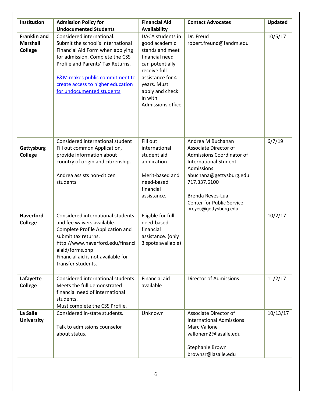| Institution                                       | <b>Admission Policy for</b><br><b>Undocumented Students</b>                                                                                                                                                                                                                    | <b>Financial Aid</b><br><b>Availability</b>                                                                                                                                                     | <b>Contact Advocates</b>                                                                                                                                                                                                                                 | Updated  |
|---------------------------------------------------|--------------------------------------------------------------------------------------------------------------------------------------------------------------------------------------------------------------------------------------------------------------------------------|-------------------------------------------------------------------------------------------------------------------------------------------------------------------------------------------------|----------------------------------------------------------------------------------------------------------------------------------------------------------------------------------------------------------------------------------------------------------|----------|
| <b>Franklin and</b><br><b>Marshall</b><br>College | Considered international.<br>Submit the school's International<br>Financial Aid Form when applying<br>for admission. Complete the CSS<br>Profile and Parents' Tax Returns.<br>F&M makes public commitment to<br>create access to higher education<br>for undocumented students | DACA students in<br>good academic<br>stands and meet<br>financial need<br>can potentially<br>receive full<br>assistance for 4<br>years. Must<br>apply and check<br>in with<br>Admissions office | Dr. Freud<br>robert.freund@fandm.edu                                                                                                                                                                                                                     | 10/5/17  |
| Gettysburg<br><b>College</b>                      | Considered international student<br>Fill out common Application,<br>provide information about<br>country of origin and citizenship.<br>Andrea assists non-citizen<br>students                                                                                                  | Fill out<br>international<br>student aid<br>application<br>Merit-based and<br>need-based<br>financial<br>assistance.                                                                            | Andrea M Buchanan<br>Associate Director of<br><b>Admissions Coordinator of</b><br><b>International Student</b><br>Admissions<br>abuchana@gettysburg.edu<br>717.337.6100<br>Brenda Reyes-Lua<br><b>Center for Public Service</b><br>breyes@gettysburg.edu | 6/7/19   |
| <b>Haverford</b><br>College                       | Considered international students<br>and fee waivers available.<br>Complete Profile Application and<br>submit tax returns.<br>http://www.haverford.edu/financi<br>alaid/forms.php<br>Financial aid is not available for<br>transfer students.                                  | Eligible for full<br>need-based<br>financial<br>assistance. (only<br>3 spots available)                                                                                                         |                                                                                                                                                                                                                                                          | 10/2/17  |
| Lafayette<br>College                              | Considered international students.<br>Meets the full demonstrated<br>financial need of international<br>students.<br>Must complete the CSS Profile.                                                                                                                            | Financial aid<br>available                                                                                                                                                                      | <b>Director of Admissions</b>                                                                                                                                                                                                                            | 11/2/17  |
| La Salle<br><b>University</b>                     | Considered in-state students.<br>Talk to admissions counselor<br>about status.                                                                                                                                                                                                 | Unknown                                                                                                                                                                                         | Associate Director of<br><b>International Admissions</b><br>Marc Vallone<br>vallonem2@lasalle.edu<br>Stephanie Brown<br>brownsr@lasalle.edu                                                                                                              | 10/13/17 |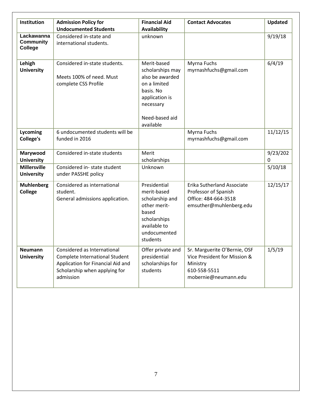| Institution                               | <b>Admission Policy for</b><br><b>Undocumented Students</b>                                                                                      | <b>Financial Aid</b><br><b>Availability</b>                                                                                                   | <b>Contact Advocates</b>                                                                                         | <b>Updated</b> |
|-------------------------------------------|--------------------------------------------------------------------------------------------------------------------------------------------------|-----------------------------------------------------------------------------------------------------------------------------------------------|------------------------------------------------------------------------------------------------------------------|----------------|
| Lackawanna<br><b>Community</b><br>College | Considered in-state and<br>international students.                                                                                               | unknown                                                                                                                                       |                                                                                                                  | 9/19/18        |
| Lehigh<br><b>University</b>               | Considered in-state students.<br>Meets 100% of need. Must<br>complete CSS Profile                                                                | Merit-based<br>scholarships may<br>also be awarded<br>on a limited<br>basis. No<br>application is<br>necessary<br>Need-based aid<br>available | Myrna Fuchs<br>myrnashfuchs@gmail.com                                                                            | 6/4/19         |
| Lycoming<br><b>College's</b>              | 6 undocumented students will be<br>funded in 2016                                                                                                |                                                                                                                                               | Myrna Fuchs<br>myrnashfuchs@gmail.com                                                                            | 11/12/15       |
| Marywood<br><b>University</b>             | Considered in-state students                                                                                                                     | Merit<br>scholarships                                                                                                                         |                                                                                                                  | 9/23/202<br>0  |
| <b>Millersville</b><br><b>University</b>  | Considered in-state student<br>under PASSHE policy                                                                                               | Unknown                                                                                                                                       |                                                                                                                  | 5/10/18        |
| <b>Muhlenberg</b><br><b>College</b>       | Considered as international<br>student.<br>General admissions application.                                                                       | Presidential<br>merit-based<br>scholarship and<br>other merit-<br>based<br>scholarships<br>available to<br>undocumented<br>students           | Erika Sutherland Associate<br>Professor of Spanish<br>Office: 484-664-3518<br>emsuther@muhlenberg.edu            | 12/15/17       |
| <b>Neumann</b><br><b>University</b>       | Considered as International<br>Complete International Student<br>Application for Financial Aid and<br>Scholarship when applying for<br>admission | Offer private and<br>presidential<br>scholarships for<br>students                                                                             | Sr. Marguerite O'Bernie, OSF<br>Vice President for Mission &<br>Ministry<br>610-558-5511<br>mobernie@neumann.edu | 1/5/19         |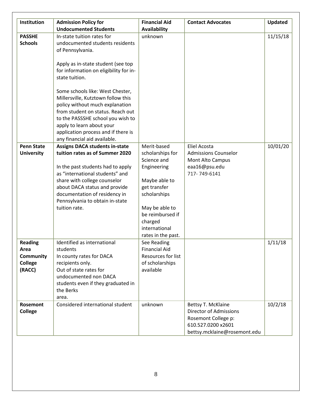| Institution                                                     | <b>Admission Policy for</b>                                                                                                                                                                                                                                                             | <b>Financial Aid</b>                                                                                                                                                                    | <b>Contact Advocates</b>                                                                                                         | <b>Updated</b> |
|-----------------------------------------------------------------|-----------------------------------------------------------------------------------------------------------------------------------------------------------------------------------------------------------------------------------------------------------------------------------------|-----------------------------------------------------------------------------------------------------------------------------------------------------------------------------------------|----------------------------------------------------------------------------------------------------------------------------------|----------------|
|                                                                 | <b>Undocumented Students</b>                                                                                                                                                                                                                                                            | <b>Availability</b>                                                                                                                                                                     |                                                                                                                                  |                |
| <b>PASSHE</b><br><b>Schools</b>                                 | In-state tuition rates for<br>undocumented students residents<br>of Pennsylvania.                                                                                                                                                                                                       | unknown                                                                                                                                                                                 |                                                                                                                                  | 11/15/18       |
|                                                                 | Apply as in-state student (see top<br>for information on eligibility for in-<br>state tuition.                                                                                                                                                                                          |                                                                                                                                                                                         |                                                                                                                                  |                |
|                                                                 | Some schools like: West Chester,<br>Millersville, Kutztown follow this<br>policy without much explanation<br>from student on status. Reach out<br>to the PASSSHE school you wish to<br>apply to learn about your<br>application process and if there is<br>any financial aid available. |                                                                                                                                                                                         |                                                                                                                                  |                |
| <b>Penn State</b>                                               | <b>Assigns DACA students in-state</b>                                                                                                                                                                                                                                                   | Merit-based                                                                                                                                                                             | <b>Eliel Acosta</b>                                                                                                              | 10/01/20       |
| <b>University</b>                                               | tuition rates as of Summer 2020<br>In the past students had to apply<br>as "international students" and<br>share with college counselor<br>about DACA status and provide<br>documentation of residency in<br>Pennsylvania to obtain in-state<br>tuition rate.                           | scholarships for<br>Science and<br>Engineering<br>Maybe able to<br>get transfer<br>scholarships<br>May be able to<br>be reimbursed if<br>charged<br>international<br>rates in the past. | <b>Admissions Counselor</b><br>Mont Alto Campus<br>eaa16@psu.edu<br>717-749-6141                                                 |                |
| <b>Reading</b><br>Area<br><b>Community</b><br>College<br>(RACC) | Identified as international<br>students<br>In county rates for DACA<br>recipients only.<br>Out of state rates for<br>undocumented non DACA<br>students even if they graduated in<br>the Berks<br>area.                                                                                  | See Reading<br><b>Financial Aid</b><br>Resources for list<br>of scholarships<br>available                                                                                               |                                                                                                                                  | 1/11/18        |
| Rosemont<br>College                                             | Considered international student                                                                                                                                                                                                                                                        | unknown                                                                                                                                                                                 | Bettsy T. McKlaine<br><b>Director of Admissions</b><br>Rosemont College p:<br>610.527.0200 x2601<br>bettsy.mcklaine@rosemont.edu | 10/2/18        |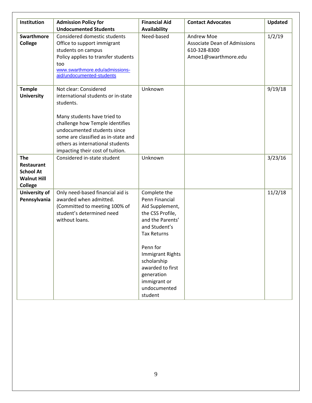| Institution                                                                                 | <b>Admission Policy for</b><br><b>Undocumented Students</b>                                                                                                                                                                                                                              | <b>Financial Aid</b><br><b>Availability</b>                                                                                                                                                                                                                         | <b>Contact Advocates</b>                                                                         | <b>Updated</b> |
|---------------------------------------------------------------------------------------------|------------------------------------------------------------------------------------------------------------------------------------------------------------------------------------------------------------------------------------------------------------------------------------------|---------------------------------------------------------------------------------------------------------------------------------------------------------------------------------------------------------------------------------------------------------------------|--------------------------------------------------------------------------------------------------|----------------|
| <b>Swarthmore</b><br>College                                                                | Considered domestic students<br>Office to support immigrant<br>students on campus<br>Policy applies to transfer students<br>too<br>www.swarthmore.edu/admissions-<br>aid/undocumented-students                                                                                           | Need-based                                                                                                                                                                                                                                                          | <b>Andrew Moe</b><br><b>Associate Dean of Admissions</b><br>610-328-8300<br>Amoe1@swarthmore.edu | 1/2/19         |
| <b>Temple</b><br><b>University</b>                                                          | Not clear: Considered<br>international students or in-state<br>students.<br>Many students have tried to<br>challenge how Temple identifies<br>undocumented students since<br>some are classified as in-state and<br>others as international students<br>impacting their cost of tuition. | Unknown                                                                                                                                                                                                                                                             |                                                                                                  | 9/19/18        |
| <b>The</b><br><b>Restaurant</b><br><b>School At</b><br><b>Walnut Hill</b><br><b>College</b> | Considered in-state student                                                                                                                                                                                                                                                              | Unknown                                                                                                                                                                                                                                                             |                                                                                                  | 3/23/16        |
| University of<br>Pennsylvania                                                               | Only need-based financial aid is<br>awarded when admitted.<br>(Committed to meeting 100% of<br>student's determined need<br>without loans.                                                                                                                                               | Complete the<br>Penn Financial<br>Aid Supplement,<br>the CSS Profile,<br>and the Parents'<br>and Student's<br><b>Tax Returns</b><br>Penn for<br><b>Immigrant Rights</b><br>scholarship<br>awarded to first<br>generation<br>immigrant or<br>undocumented<br>student |                                                                                                  | 11/2/18        |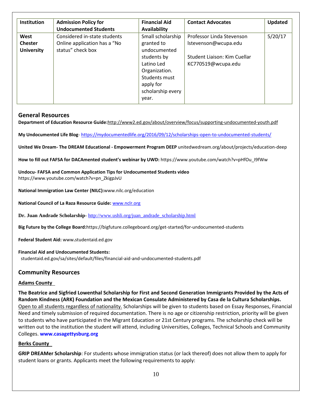| Institution                                 | <b>Admission Policy for</b><br><b>Undocumented Students</b>                       | <b>Financial Aid</b><br>Availability                                                                                                                      | <b>Contact Advocates</b>                                                                                | <b>Updated</b> |
|---------------------------------------------|-----------------------------------------------------------------------------------|-----------------------------------------------------------------------------------------------------------------------------------------------------------|---------------------------------------------------------------------------------------------------------|----------------|
| West<br><b>Chester</b><br><b>University</b> | Considered in-state students<br>Online application has a "No<br>status" check box | Small scholarship<br>granted to<br>undocumented<br>students by<br>Latino Led<br>Organization.<br>Students must<br>apply for<br>scholarship every<br>year. | Professor Linda Stevenson<br>lstevenson@wcupa.edu<br>Student Liaison: Kim Cuellar<br>KC770519@wcupa.edu | 5/20/17        |

## **General Resources**

**Department of Education Resource Guide:**<http://www2.ed.gov/about/overview/focus/supporting-undocumented-youth.pdf>

**My Undocumented Life Blog**- <https://mydocumentedlife.org/2016/09/12/scholarships-open-to-undocumented-students/>

**United We Dream- The DREAM Educational - Empowerment Program DEEP** unitedwedream.org/about/projects/education-deep

**How to fill out FAFSA for DACAmented student's webinar by UWD:** https://www.youtube.com/watch?v=pHfOu\_I9fWw

**Undocu- FAFSA and Common Application Tips for Undocumented Students video**  https://www.youtube.com/watch?v=pn\_ZkigpJvU

**National Immigration Law Center (NILC):**www.nilc.org/education

**National Council of La Raza Resource Guide:** [www.nclr.org](http://www.nclr.org/)

**Dr. Juan Andrade Scholarship**- [http://www.ushli.org/juan\\_andrade\\_scholarship.html](http://www.ushli.org/juan_andrade_scholarship.html)

**Big Future by the College Board:**https://bigfuture.collegeboard.org/get-started/for-undocumented-students

**Federal Student Aid:** www**.**studentaid.ed.gov

#### **Financial Aid and Undocumented Students:**

studentaid.ed.gov/sa/sites/default/files/financial-aid-and-undocumented-students.pdf

## **Community Resources**

#### **Adams County**

**The Beatrice and Sigfried Lowenthal Scholarship for First and Second Generation Immigrants Provided by the Acts of Random Kindness (ARK) Foundation and the Mexican Consulate Administered by Casa de la Cultura Scholarships.**  Open to all students regardless of nationality. Scholarships will be given to students based on Essay Responses, Financial Need and timely submission of required documentation. There is no age or citizenship restriction, priority will be given to students who have participated in the Migrant Education or 21st Century programs. The scholarship check will be written out to the institution the student will attend, including Universities, Colleges, Technical Schools and Community Colleges. **[www.casagettysburg.org](http://www.casagettysburg.org/English.html)**

#### **Berks County**

**[GRIP DREAMer Scholarship](http://www.readinggrip.org/grip-dreamer-scholarship-fund/)**: For students whose immigration status (or lack thereof) does not allow them to apply for student loans or grants. Applicants meet the following requirements to apply: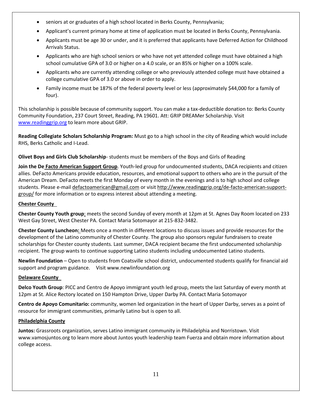- seniors at or graduates of a high school located in Berks County, Pennsylvania;
- Applicant's current primary home at time of application must be located in Berks County, Pennsylvania.
- Applicants must be age 30 or under, and it is preferred that applicants have Deferred Action for Childhood Arrivals Status.
- Applicants who are high school seniors or who have not yet attended college must have obtained a high school cumulative GPA of 3.0 or higher on a 4.0 scale, or an 85% or higher on a 100% scale.
- Applicants who are currently attending college or who previously attended college must have obtained a college cumulative GPA of 3.0 or above in order to apply.
- Family income must be 187% of the federal poverty level or less (approximately \$44,000 for a family of four).

This scholarship is possible because of community support. You can make a tax-deductible donation to[: Berks County](http://bccf.org/)  [Community Foundation,](http://bccf.org/) 237 Court Street, Reading, PA 19601. Att: GRIP DREAMer Scholarship. Visit [www.readinggrip.org](http://www.readinggrip.org/) to learn more about GRIP.

**Reading Collegiate Scholars Scholarship Program:** Must go to a high school in the city of Reading which would include RHS, Berks Catholic and I-Lead.

**Olivet Boys and Girls Club Scholarship**- students must be members of the Boys and Girls of Reading

**Join the De Facto American Support Group**. Youth-led group for undocumented students, DACA recipients and citizen allies. DeFacto Americans provide education, resources, and emotional support to others who are in the pursuit of the American Dream. DeFacto meets the first Monday of every month in the evenings and is to high school and college students. Please e-mai[l defactoamerican@gmail.com](mailto:defactoamerican@gmail.com) or visi[t http://www.readinggrip.org/de-facto-american-support](http://www.readinggrip.org/de-facto-american-support-group/)[group/](http://www.readinggrip.org/de-facto-american-support-group/) for more information or to express interest about attending a meeting.

## **Chester County**

**Chester County Youth group**: meets the second Sunday of every month at 12pm at St. Agnes Day Room located on 233 West Gay Street, West Chester PA. Contact Maria Sotomayor at 215-832-3482.

**Chester County Luncheon:** Meets once a month in different locations to discuss issues and provide resources for the development of the Latino community of Chester County. The group also sponsors regular fundraisers to create scholarships for Chester county students. Last summer, DACA recipient became the first undocumented scholarship recipient. The group wants to continue supporting Latino students including undocumented Latino students.

**Newlin Foundation** – Open to students from Coatsville school district, undocumented students qualify for financial aid support and program guidance. Visit www.newlinfoundation.org

## **Delaware County**

**Delco Youth Group**: PICC and Centro de Apoyo immigrant youth led group, meets the last Saturday of every month at 12pm at St. Alice Rectory located on 150 Hampton Drive, Upper Darby PA. Contact Maria Sotomayor

**Centro de Apoyo Comunitario:** community, women led organization in the heart of Upper Darby, serves as a point of resource for immigrant communities, primarily Latino but is open to all.

#### **Philadelphia County**

**Juntos:** Grassroots organization, serves Latino immigrant community in Philadelphia and Norristown. Visit www.vamosjuntos.org to learn more about Juntos youth leadership team Fuerza and obtain more information about college access.